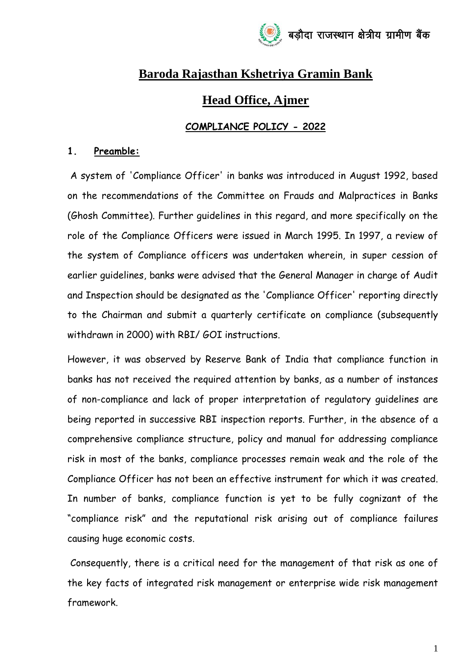

# **Baroda Rajasthan Kshetriya Gramin Bank**

# **Head Office, Ajmer**

## **COMPLIANCE POLICY - 2022**

#### **1. Preamble:**

A system of 'Compliance Officer' in banks was introduced in August 1992, based on the recommendations of the Committee on Frauds and Malpractices in Banks (Ghosh Committee). Further guidelines in this regard, and more specifically on the role of the Compliance Officers were issued in March 1995. In 1997, a review of the system of Compliance officers was undertaken wherein, in super cession of earlier guidelines, banks were advised that the General Manager in charge of Audit and Inspection should be designated as the 'Compliance Officer' reporting directly to the Chairman and submit a quarterly certificate on compliance (subsequently withdrawn in 2000) with RBI/ GOI instructions.

However, it was observed by Reserve Bank of India that compliance function in banks has not received the required attention by banks, as a number of instances of non-compliance and lack of proper interpretation of regulatory guidelines are being reported in successive RBI inspection reports. Further, in the absence of a comprehensive compliance structure, policy and manual for addressing compliance risk in most of the banks, compliance processes remain weak and the role of the Compliance Officer has not been an effective instrument for which it was created. In number of banks, compliance function is yet to be fully cognizant of the "compliance risk" and the reputational risk arising out of compliance failures causing huge economic costs.

Consequently, there is a critical need for the management of that risk as one of the key facts of integrated risk management or enterprise wide risk management framework.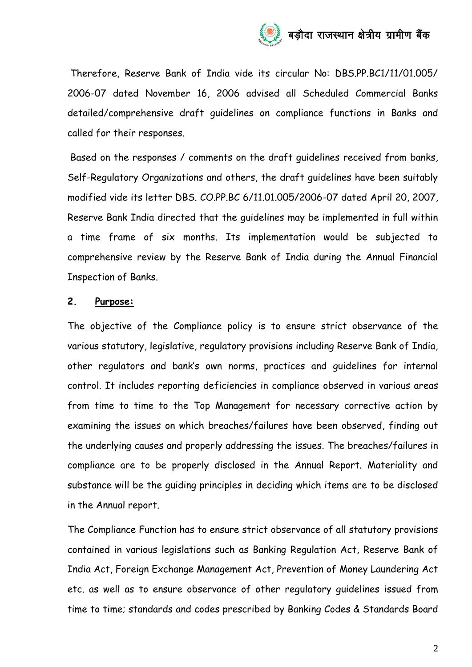

Therefore, Reserve Bank of India vide its circular No: DBS.PP.BC1/11/01.005/ 2006-07 dated November 16, 2006 advised all Scheduled Commercial Banks detailed/comprehensive draft guidelines on compliance functions in Banks and called for their responses.

Based on the responses / comments on the draft guidelines received from banks, Self-Regulatory Organizations and others, the draft guidelines have been suitably modified vide its letter DBS. CO.PP.BC 6/11.01.005/2006-07 dated April 20, 2007, Reserve Bank India directed that the guidelines may be implemented in full within a time frame of six months. Its implementation would be subjected to comprehensive review by the Reserve Bank of India during the Annual Financial Inspection of Banks.

#### **2. Purpose:**

The objective of the Compliance policy is to ensure strict observance of the various statutory, legislative, regulatory provisions including Reserve Bank of India, other regulators and bank's own norms, practices and guidelines for internal control. It includes reporting deficiencies in compliance observed in various areas from time to time to the Top Management for necessary corrective action by examining the issues on which breaches/failures have been observed, finding out the underlying causes and properly addressing the issues. The breaches/failures in compliance are to be properly disclosed in the Annual Report. Materiality and substance will be the guiding principles in deciding which items are to be disclosed in the Annual report.

The Compliance Function has to ensure strict observance of all statutory provisions contained in various legislations such as Banking Regulation Act, Reserve Bank of India Act, Foreign Exchange Management Act, Prevention of Money Laundering Act etc. as well as to ensure observance of other regulatory guidelines issued from time to time; standards and codes prescribed by Banking Codes & Standards Board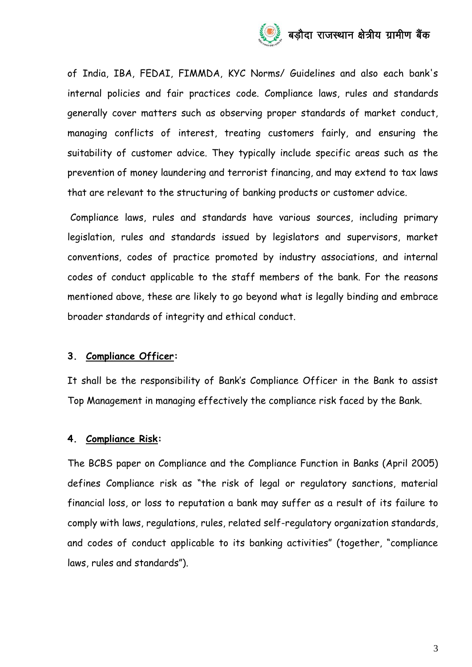

of India, IBA, FEDAI, FIMMDA, KYC Norms/ Guidelines and also each bank's internal policies and fair practices code. Compliance laws, rules and standards generally cover matters such as observing proper standards of market conduct, managing conflicts of interest, treating customers fairly, and ensuring the suitability of customer advice. They typically include specific areas such as the prevention of money laundering and terrorist financing, and may extend to tax laws that are relevant to the structuring of banking products or customer advice.

Compliance laws, rules and standards have various sources, including primary legislation, rules and standards issued by legislators and supervisors, market conventions, codes of practice promoted by industry associations, and internal codes of conduct applicable to the staff members of the bank. For the reasons mentioned above, these are likely to go beyond what is legally binding and embrace broader standards of integrity and ethical conduct.

## **3. Compliance Officer:**

It shall be the responsibility of Bank's Compliance Officer in the Bank to assist Top Management in managing effectively the compliance risk faced by the Bank.

## **4. Compliance Risk:**

The BCBS paper on Compliance and the Compliance Function in Banks (April 2005) defines Compliance risk as "the risk of legal or regulatory sanctions, material financial loss, or loss to reputation a bank may suffer as a result of its failure to comply with laws, regulations, rules, related self-regulatory organization standards, and codes of conduct applicable to its banking activities" (together, "compliance laws, rules and standards").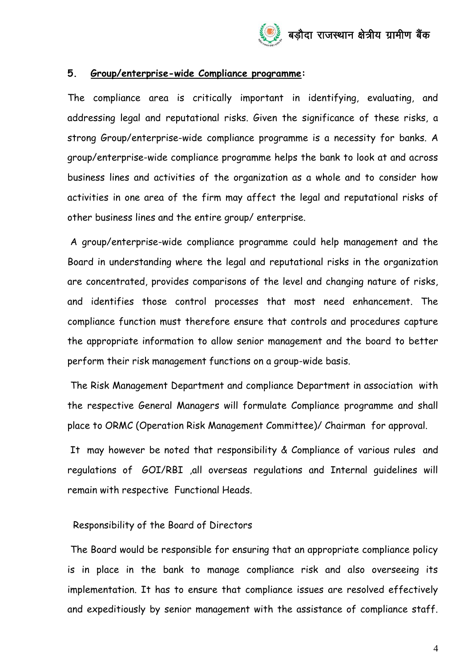#### **5. Group/enterprise-wide Compliance programme:**

The compliance area is critically important in identifying, evaluating, and addressing legal and reputational risks. Given the significance of these risks, a strong Group/enterprise-wide compliance programme is a necessity for banks. A group/enterprise-wide compliance programme helps the bank to look at and across business lines and activities of the organization as a whole and to consider how activities in one area of the firm may affect the legal and reputational risks of other business lines and the entire group/ enterprise.

A group/enterprise-wide compliance programme could help management and the Board in understanding where the legal and reputational risks in the organization are concentrated, provides comparisons of the level and changing nature of risks, and identifies those control processes that most need enhancement. The compliance function must therefore ensure that controls and procedures capture the appropriate information to allow senior management and the board to better perform their risk management functions on a group-wide basis.

The Risk Management Department and compliance Department in association with the respective General Managers will formulate Compliance programme and shall place to ORMC (Operation Risk Management Committee)/ Chairman for approval.

It may however be noted that responsibility & Compliance of various rules and regulations of GOI/RBI ,all overseas regulations and Internal guidelines will remain with respective Functional Heads.

## Responsibility of the Board of Directors

The Board would be responsible for ensuring that an appropriate compliance policy is in place in the bank to manage compliance risk and also overseeing its implementation. It has to ensure that compliance issues are resolved effectively and expeditiously by senior management with the assistance of compliance staff.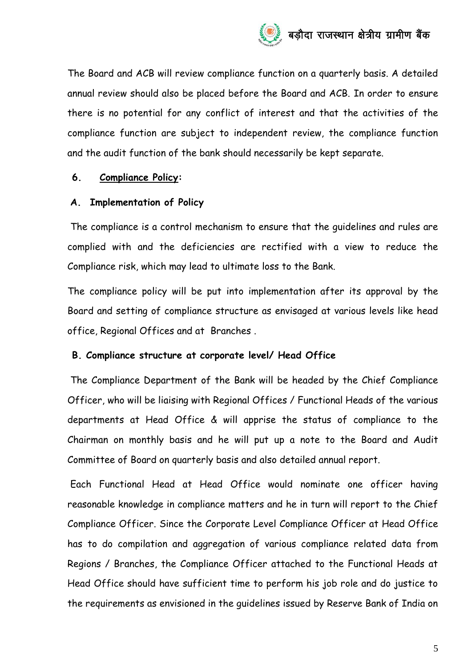

The Board and ACB will review compliance function on a quarterly basis. A detailed annual review should also be placed before the Board and ACB. In order to ensure there is no potential for any conflict of interest and that the activities of the compliance function are subject to independent review, the compliance function and the audit function of the bank should necessarily be kept separate.

#### **6. Compliance Policy:**

#### **A. Implementation of Policy**

The compliance is a control mechanism to ensure that the guidelines and rules are complied with and the deficiencies are rectified with a view to reduce the Compliance risk, which may lead to ultimate loss to the Bank.

The compliance policy will be put into implementation after its approval by the Board and setting of compliance structure as envisaged at various levels like head office, Regional Offices and at Branches .

#### **B. Compliance structure at corporate level/ Head Office**

The Compliance Department of the Bank will be headed by the Chief Compliance Officer, who will be liaising with Regional Offices / Functional Heads of the various departments at Head Office & will apprise the status of compliance to the Chairman on monthly basis and he will put up a note to the Board and Audit Committee of Board on quarterly basis and also detailed annual report.

Each Functional Head at Head Office would nominate one officer having reasonable knowledge in compliance matters and he in turn will report to the Chief Compliance Officer. Since the Corporate Level Compliance Officer at Head Office has to do compilation and aggregation of various compliance related data from Regions / Branches, the Compliance Officer attached to the Functional Heads at Head Office should have sufficient time to perform his job role and do justice to the requirements as envisioned in the guidelines issued by Reserve Bank of India on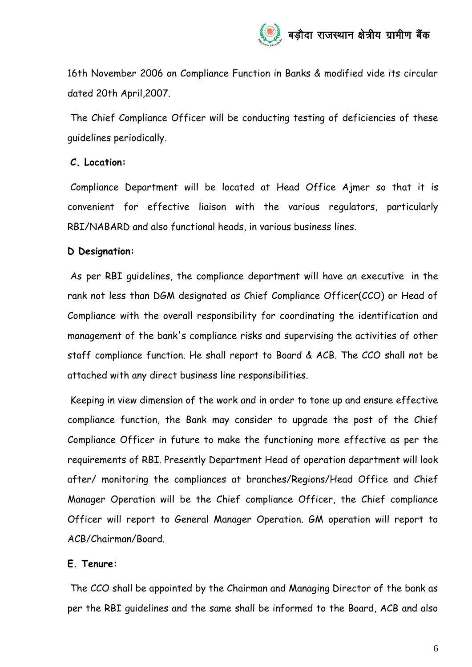16th November 2006 on Compliance Function in Banks & modified vide its circular dated 20th April,2007.

The Chief Compliance Officer will be conducting testing of deficiencies of these guidelines periodically.

## **C. Location:**

Compliance Department will be located at Head Office Ajmer so that it is convenient for effective liaison with the various regulators, particularly RBI/NABARD and also functional heads, in various business lines.

## **D Designation:**

As per RBI guidelines, the compliance department will have an executive in the rank not less than DGM designated as Chief Compliance Officer(CCO) or Head of Compliance with the overall responsibility for coordinating the identification and management of the bank's compliance risks and supervising the activities of other staff compliance function. He shall report to Board & ACB. The CCO shall not be attached with any direct business line responsibilities.

Keeping in view dimension of the work and in order to tone up and ensure effective compliance function, the Bank may consider to upgrade the post of the Chief Compliance Officer in future to make the functioning more effective as per the requirements of RBI. Presently Department Head of operation department will look after/ monitoring the compliances at branches/Regions/Head Office and Chief Manager Operation will be the Chief compliance Officer, the Chief compliance Officer will report to General Manager Operation. GM operation will report to ACB/Chairman/Board.

## **E. Tenure:**

The CCO shall be appointed by the Chairman and Managing Director of the bank as per the RBI guidelines and the same shall be informed to the Board, ACB and also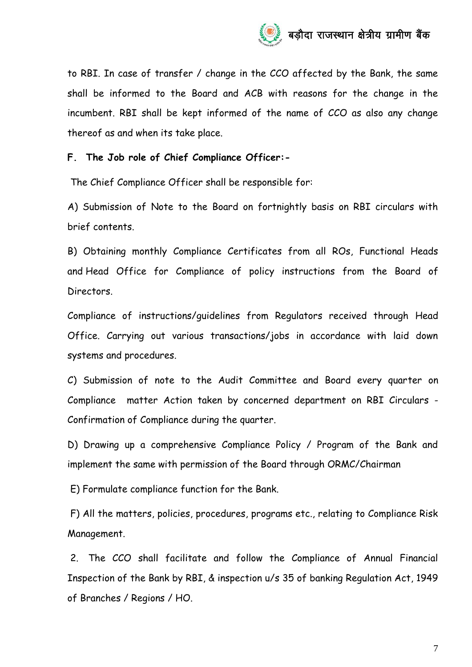

to RBI. In case of transfer / change in the CCO affected by the Bank, the same shall be informed to the Board and ACB with reasons for the change in the incumbent. RBI shall be kept informed of the name of CCO as also any change thereof as and when its take place.

#### **F. The Job role of Chief Compliance Officer:-**

The Chief Compliance Officer shall be responsible for:

A) Submission of Note to the Board on fortnightly basis on RBI circulars with brief contents.

B) Obtaining monthly Compliance Certificates from all ROs, Functional Heads and Head Office for Compliance of policy instructions from the Board of Directors.

Compliance of instructions/guidelines from Regulators received through Head Office. Carrying out various transactions/jobs in accordance with laid down systems and procedures.

C) Submission of note to the Audit Committee and Board every quarter on Compliance matter Action taken by concerned department on RBI Circulars - Confirmation of Compliance during the quarter.

D) Drawing up a comprehensive Compliance Policy / Program of the Bank and implement the same with permission of the Board through ORMC/Chairman

E) Formulate compliance function for the Bank.

F) All the matters, policies, procedures, programs etc., relating to Compliance Risk Management.

2. The CCO shall facilitate and follow the Compliance of Annual Financial Inspection of the Bank by RBI, & inspection u/s 35 of banking Regulation Act, 1949 of Branches / Regions / HO.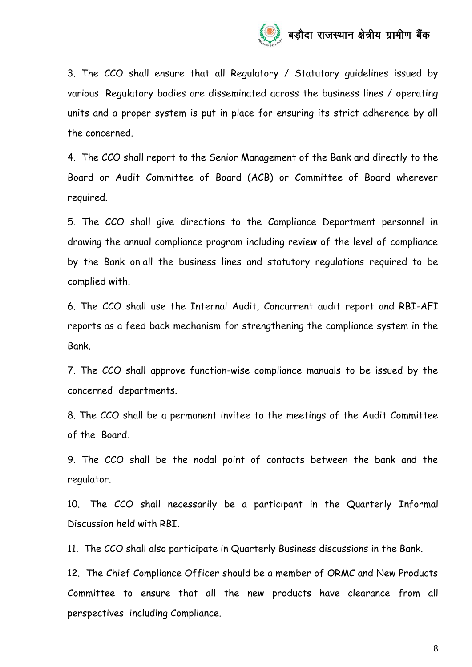

3. The CCO shall ensure that all Regulatory / Statutory guidelines issued by various Regulatory bodies are disseminated across the business lines / operating units and a proper system is put in place for ensuring its strict adherence by all the concerned.

4. The CCO shall report to the Senior Management of the Bank and directly to the Board or Audit Committee of Board (ACB) or Committee of Board wherever required.

5. The CCO shall give directions to the Compliance Department personnel in drawing the annual compliance program including review of the level of compliance by the Bank on all the business lines and statutory regulations required to be complied with.

6. The CCO shall use the Internal Audit, Concurrent audit report and RBI-AFI reports as a feed back mechanism for strengthening the compliance system in the Bank.

7. The CCO shall approve function-wise compliance manuals to be issued by the concerned departments.

8. The CCO shall be a permanent invitee to the meetings of the Audit Committee of the Board.

9. The CCO shall be the nodal point of contacts between the bank and the regulator.

10. The CCO shall necessarily be a participant in the Quarterly Informal Discussion held with RBI.

11. The CCO shall also participate in Quarterly Business discussions in the Bank.

12. The Chief Compliance Officer should be a member of ORMC and New Products Committee to ensure that all the new products have clearance from all perspectives including Compliance.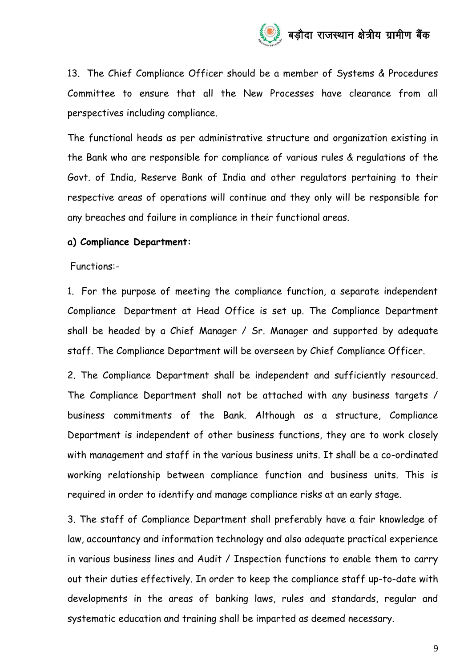

13. The Chief Compliance Officer should be a member of Systems & Procedures Committee to ensure that all the New Processes have clearance from all perspectives including compliance.

The functional heads as per administrative structure and organization existing in the Bank who are responsible for compliance of various rules & regulations of the Govt. of India, Reserve Bank of India and other regulators pertaining to their respective areas of operations will continue and they only will be responsible for any breaches and failure in compliance in their functional areas.

#### **a) Compliance Department:**

Functions:-

1. For the purpose of meeting the compliance function, a separate independent Compliance Department at Head Office is set up. The Compliance Department shall be headed by a Chief Manager / Sr. Manager and supported by adequate staff. The Compliance Department will be overseen by Chief Compliance Officer.

2. The Compliance Department shall be independent and sufficiently resourced. The Compliance Department shall not be attached with any business targets / business commitments of the Bank. Although as a structure, Compliance Department is independent of other business functions, they are to work closely with management and staff in the various business units. It shall be a co-ordinated working relationship between compliance function and business units. This is required in order to identify and manage compliance risks at an early stage.

3. The staff of Compliance Department shall preferably have a fair knowledge of law, accountancy and information technology and also adequate practical experience in various business lines and Audit / Inspection functions to enable them to carry out their duties effectively. In order to keep the compliance staff up-to-date with developments in the areas of banking laws, rules and standards, regular and systematic education and training shall be imparted as deemed necessary.

9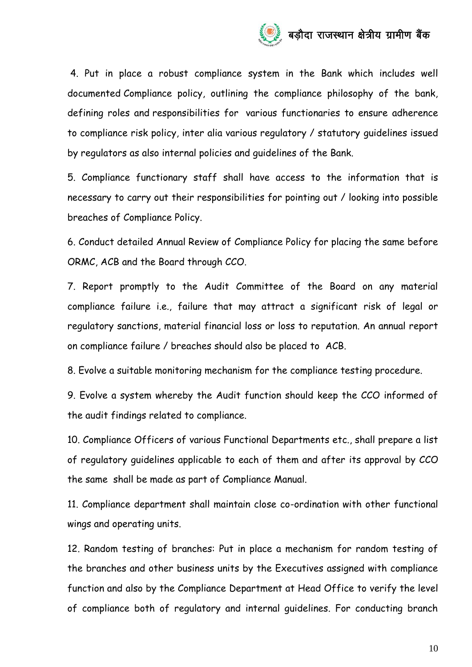

4. Put in place a robust compliance system in the Bank which includes well documented Compliance policy, outlining the compliance philosophy of the bank, defining roles and responsibilities for various functionaries to ensure adherence to compliance risk policy, inter alia various regulatory / statutory guidelines issued by regulators as also internal policies and guidelines of the Bank.

5. Compliance functionary staff shall have access to the information that is necessary to carry out their responsibilities for pointing out / looking into possible breaches of Compliance Policy.

6. Conduct detailed Annual Review of Compliance Policy for placing the same before ORMC, ACB and the Board through CCO.

7. Report promptly to the Audit Committee of the Board on any material compliance failure i.e., failure that may attract a significant risk of legal or regulatory sanctions, material financial loss or loss to reputation. An annual report on compliance failure / breaches should also be placed to ACB.

8. Evolve a suitable monitoring mechanism for the compliance testing procedure.

9. Evolve a system whereby the Audit function should keep the CCO informed of the audit findings related to compliance.

10. Compliance Officers of various Functional Departments etc., shall prepare a list of regulatory guidelines applicable to each of them and after its approval by CCO the same shall be made as part of Compliance Manual.

11. Compliance department shall maintain close co-ordination with other functional wings and operating units.

12. Random testing of branches: Put in place a mechanism for random testing of the branches and other business units by the Executives assigned with compliance function and also by the Compliance Department at Head Office to verify the level of compliance both of regulatory and internal guidelines. For conducting branch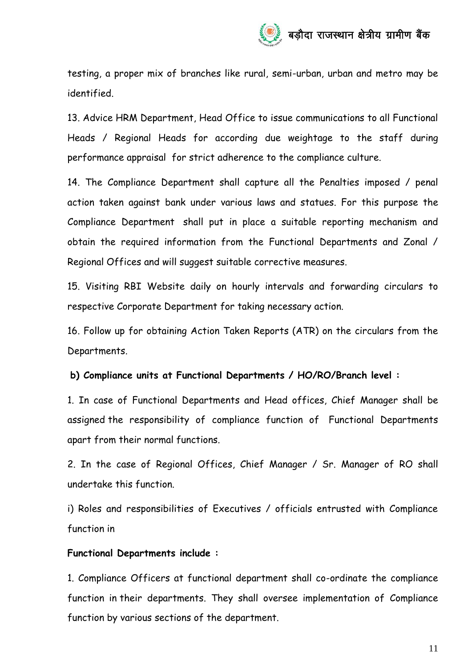testing, a proper mix of branches like rural, semi-urban, urban and metro may be identified.

13. Advice HRM Department, Head Office to issue communications to all Functional Heads / Regional Heads for according due weightage to the staff during performance appraisal for strict adherence to the compliance culture.

14. The Compliance Department shall capture all the Penalties imposed / penal action taken against bank under various laws and statues. For this purpose the Compliance Department shall put in place a suitable reporting mechanism and obtain the required information from the Functional Departments and Zonal / Regional Offices and will suggest suitable corrective measures.

15. Visiting RBI Website daily on hourly intervals and forwarding circulars to respective Corporate Department for taking necessary action.

16. Follow up for obtaining Action Taken Reports (ATR) on the circulars from the Departments.

## **b) Compliance units at Functional Departments / HO/RO/Branch level :**

1. In case of Functional Departments and Head offices, Chief Manager shall be assigned the responsibility of compliance function of Functional Departments apart from their normal functions.

2. In the case of Regional Offices, Chief Manager / Sr. Manager of RO shall undertake this function.

i) Roles and responsibilities of Executives / officials entrusted with Compliance function in

## **Functional Departments include :**

1. Compliance Officers at functional department shall co-ordinate the compliance function in their departments. They shall oversee implementation of Compliance function by various sections of the department.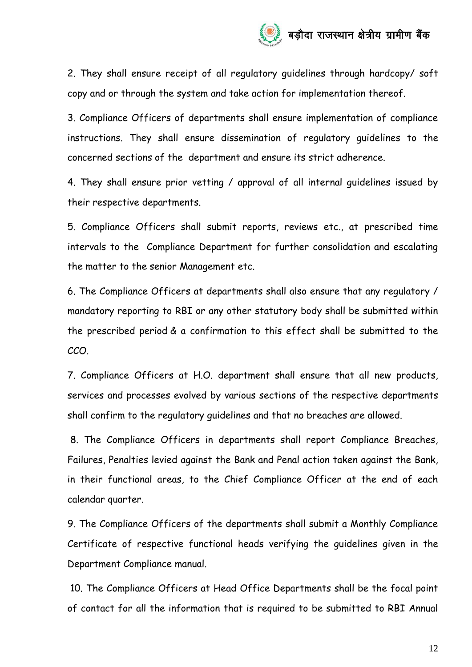2. They shall ensure receipt of all regulatory guidelines through hardcopy/ soft copy and or through the system and take action for implementation thereof.

3. Compliance Officers of departments shall ensure implementation of compliance instructions. They shall ensure dissemination of regulatory guidelines to the concerned sections of the department and ensure its strict adherence.

4. They shall ensure prior vetting / approval of all internal guidelines issued by their respective departments.

5. Compliance Officers shall submit reports, reviews etc., at prescribed time intervals to the Compliance Department for further consolidation and escalating the matter to the senior Management etc.

6. The Compliance Officers at departments shall also ensure that any regulatory / mandatory reporting to RBI or any other statutory body shall be submitted within the prescribed period & a confirmation to this effect shall be submitted to the CCO.

7. Compliance Officers at H.O. department shall ensure that all new products, services and processes evolved by various sections of the respective departments shall confirm to the regulatory guidelines and that no breaches are allowed.

8. The Compliance Officers in departments shall report Compliance Breaches, Failures, Penalties levied against the Bank and Penal action taken against the Bank, in their functional areas, to the Chief Compliance Officer at the end of each calendar quarter.

9. The Compliance Officers of the departments shall submit a Monthly Compliance Certificate of respective functional heads verifying the guidelines given in the Department Compliance manual.

10. The Compliance Officers at Head Office Departments shall be the focal point of contact for all the information that is required to be submitted to RBI Annual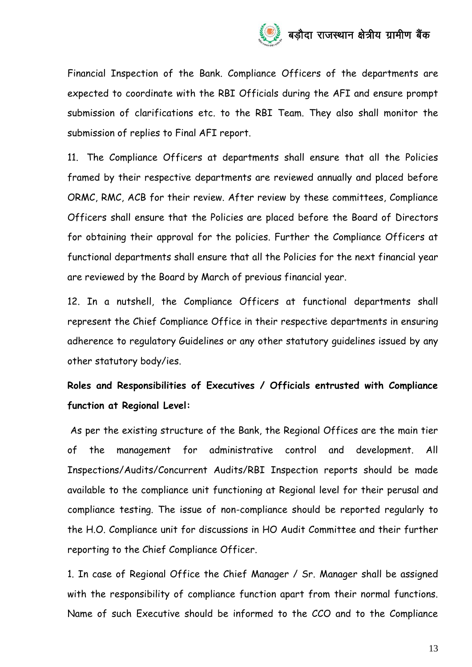

Financial Inspection of the Bank. Compliance Officers of the departments are expected to coordinate with the RBI Officials during the AFI and ensure prompt submission of clarifications etc. to the RBI Team. They also shall monitor the submission of replies to Final AFI report.

11. The Compliance Officers at departments shall ensure that all the Policies framed by their respective departments are reviewed annually and placed before ORMC, RMC, ACB for their review. After review by these committees, Compliance Officers shall ensure that the Policies are placed before the Board of Directors for obtaining their approval for the policies. Further the Compliance Officers at functional departments shall ensure that all the Policies for the next financial year are reviewed by the Board by March of previous financial year.

12. In a nutshell, the Compliance Officers at functional departments shall represent the Chief Compliance Office in their respective departments in ensuring adherence to regulatory Guidelines or any other statutory guidelines issued by any other statutory body/ies.

# **Roles and Responsibilities of Executives / Officials entrusted with Compliance function at Regional Level:**

As per the existing structure of the Bank, the Regional Offices are the main tier of the management for administrative control and development. All Inspections/Audits/Concurrent Audits/RBI Inspection reports should be made available to the compliance unit functioning at Regional level for their perusal and compliance testing. The issue of non-compliance should be reported regularly to the H.O. Compliance unit for discussions in HO Audit Committee and their further reporting to the Chief Compliance Officer.

1. In case of Regional Office the Chief Manager / Sr. Manager shall be assigned with the responsibility of compliance function apart from their normal functions. Name of such Executive should be informed to the CCO and to the Compliance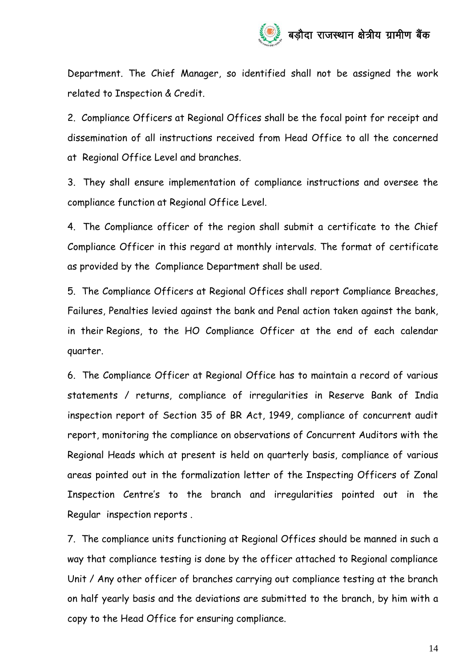Department. The Chief Manager, so identified shall not be assigned the work related to Inspection & Credit.

2. Compliance Officers at Regional Offices shall be the focal point for receipt and dissemination of all instructions received from Head Office to all the concerned at Regional Office Level and branches.

3. They shall ensure implementation of compliance instructions and oversee the compliance function at Regional Office Level.

4. The Compliance officer of the region shall submit a certificate to the Chief Compliance Officer in this regard at monthly intervals. The format of certificate as provided by the Compliance Department shall be used.

5. The Compliance Officers at Regional Offices shall report Compliance Breaches, Failures, Penalties levied against the bank and Penal action taken against the bank, in their Regions, to the HO Compliance Officer at the end of each calendar quarter.

6. The Compliance Officer at Regional Office has to maintain a record of various statements / returns, compliance of irregularities in Reserve Bank of India inspection report of Section 35 of BR Act, 1949, compliance of concurrent audit report, monitoring the compliance on observations of Concurrent Auditors with the Regional Heads which at present is held on quarterly basis, compliance of various areas pointed out in the formalization letter of the Inspecting Officers of Zonal Inspection Centre's to the branch and irregularities pointed out in the Regular inspection reports .

7. The compliance units functioning at Regional Offices should be manned in such a way that compliance testing is done by the officer attached to Regional compliance Unit / Any other officer of branches carrying out compliance testing at the branch on half yearly basis and the deviations are submitted to the branch, by him with a copy to the Head Office for ensuring compliance.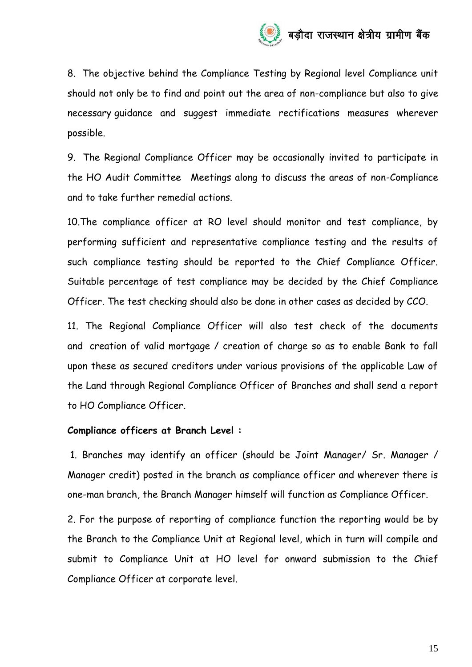

8. The objective behind the Compliance Testing by Regional level Compliance unit should not only be to find and point out the area of non-compliance but also to give necessary guidance and suggest immediate rectifications measures wherever possible.

9. The Regional Compliance Officer may be occasionally invited to participate in the HO Audit Committee Meetings along to discuss the areas of non-Compliance and to take further remedial actions.

10.The compliance officer at RO level should monitor and test compliance, by performing sufficient and representative compliance testing and the results of such compliance testing should be reported to the Chief Compliance Officer. Suitable percentage of test compliance may be decided by the Chief Compliance Officer. The test checking should also be done in other cases as decided by CCO.

11. The Regional Compliance Officer will also test check of the documents and creation of valid mortgage / creation of charge so as to enable Bank to fall upon these as secured creditors under various provisions of the applicable Law of the Land through Regional Compliance Officer of Branches and shall send a report to HO Compliance Officer.

#### **Compliance officers at Branch Level :**

1. Branches may identify an officer (should be Joint Manager/ Sr. Manager / Manager credit) posted in the branch as compliance officer and wherever there is one-man branch, the Branch Manager himself will function as Compliance Officer.

2. For the purpose of reporting of compliance function the reporting would be by the Branch to the Compliance Unit at Regional level, which in turn will compile and submit to Compliance Unit at HO level for onward submission to the Chief Compliance Officer at corporate level.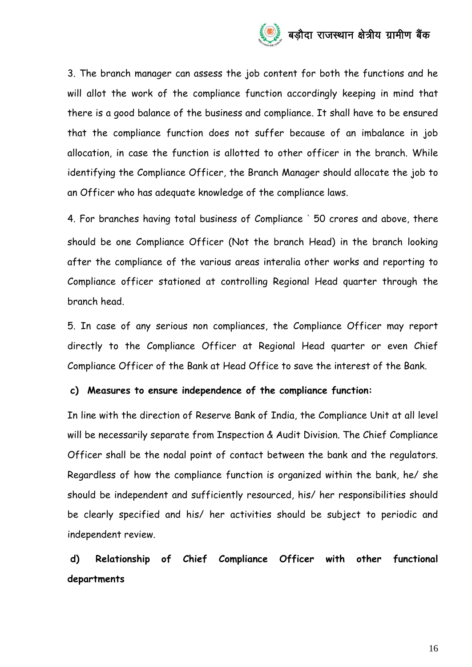

3. The branch manager can assess the job content for both the functions and he will allot the work of the compliance function accordingly keeping in mind that there is a good balance of the business and compliance. It shall have to be ensured that the compliance function does not suffer because of an imbalance in job allocation, in case the function is allotted to other officer in the branch. While identifying the Compliance Officer, the Branch Manager should allocate the job to an Officer who has adequate knowledge of the compliance laws.

4. For branches having total business of Compliance ` 50 crores and above, there should be one Compliance Officer (Not the branch Head) in the branch looking after the compliance of the various areas interalia other works and reporting to Compliance officer stationed at controlling Regional Head quarter through the branch head.

5. In case of any serious non compliances, the Compliance Officer may report directly to the Compliance Officer at Regional Head quarter or even Chief Compliance Officer of the Bank at Head Office to save the interest of the Bank.

#### **c) Measures to ensure independence of the compliance function:**

In line with the direction of Reserve Bank of India, the Compliance Unit at all level will be necessarily separate from Inspection & Audit Division. The Chief Compliance Officer shall be the nodal point of contact between the bank and the regulators. Regardless of how the compliance function is organized within the bank, he/ she should be independent and sufficiently resourced, his/ her responsibilities should be clearly specified and his/ her activities should be subject to periodic and independent review.

**d) Relationship of Chief Compliance Officer with other functional departments**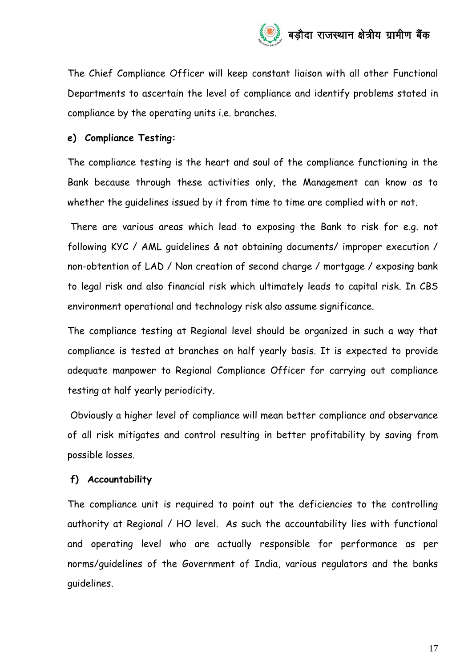

The Chief Compliance Officer will keep constant liaison with all other Functional Departments to ascertain the level of compliance and identify problems stated in compliance by the operating units i.e. branches.

## **e) Compliance Testing:**

The compliance testing is the heart and soul of the compliance functioning in the Bank because through these activities only, the Management can know as to whether the guidelines issued by it from time to time are complied with or not.

There are various areas which lead to exposing the Bank to risk for e.g. not following KYC / AML guidelines & not obtaining documents/ improper execution / non-obtention of LAD / Non creation of second charge / mortgage / exposing bank to legal risk and also financial risk which ultimately leads to capital risk. In CBS environment operational and technology risk also assume significance.

The compliance testing at Regional level should be organized in such a way that compliance is tested at branches on half yearly basis. It is expected to provide adequate manpower to Regional Compliance Officer for carrying out compliance testing at half yearly periodicity.

Obviously a higher level of compliance will mean better compliance and observance of all risk mitigates and control resulting in better profitability by saving from possible losses.

## **f) Accountability**

The compliance unit is required to point out the deficiencies to the controlling authority at Regional / HO level. As such the accountability lies with functional and operating level who are actually responsible for performance as per norms/guidelines of the Government of India, various regulators and the banks guidelines.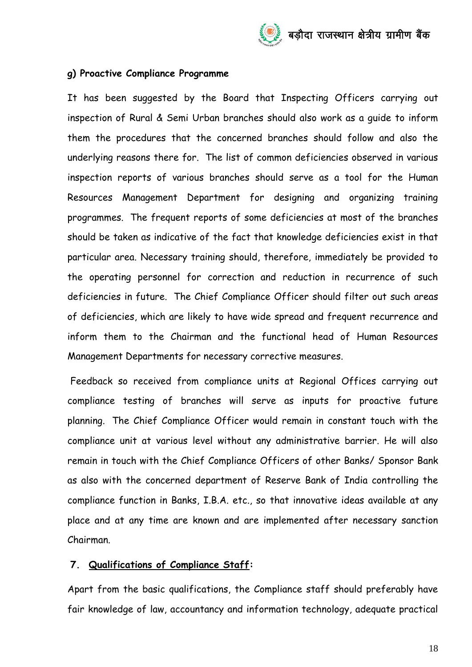

#### **g) Proactive Compliance Programme**

It has been suggested by the Board that Inspecting Officers carrying out inspection of Rural & Semi Urban branches should also work as a guide to inform them the procedures that the concerned branches should follow and also the underlying reasons there for. The list of common deficiencies observed in various inspection reports of various branches should serve as a tool for the Human Resources Management Department for designing and organizing training programmes. The frequent reports of some deficiencies at most of the branches should be taken as indicative of the fact that knowledge deficiencies exist in that particular area. Necessary training should, therefore, immediately be provided to the operating personnel for correction and reduction in recurrence of such deficiencies in future. The Chief Compliance Officer should filter out such areas of deficiencies, which are likely to have wide spread and frequent recurrence and inform them to the Chairman and the functional head of Human Resources Management Departments for necessary corrective measures.

Feedback so received from compliance units at Regional Offices carrying out compliance testing of branches will serve as inputs for proactive future planning. The Chief Compliance Officer would remain in constant touch with the compliance unit at various level without any administrative barrier. He will also remain in touch with the Chief Compliance Officers of other Banks/ Sponsor Bank as also with the concerned department of Reserve Bank of India controlling the compliance function in Banks, I.B.A. etc., so that innovative ideas available at any place and at any time are known and are implemented after necessary sanction Chairman.

#### **7. Qualifications of Compliance Staff:**

Apart from the basic qualifications, the Compliance staff should preferably have fair knowledge of law, accountancy and information technology, adequate practical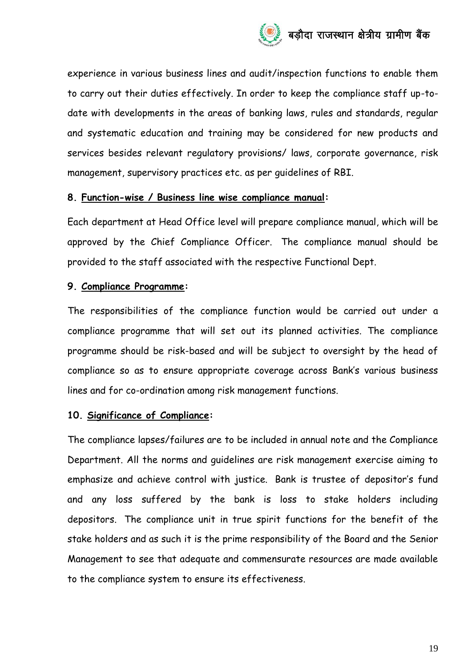

experience in various business lines and audit/inspection functions to enable them to carry out their duties effectively. In order to keep the compliance staff up-todate with developments in the areas of banking laws, rules and standards, regular and systematic education and training may be considered for new products and services besides relevant regulatory provisions/ laws, corporate governance, risk management, supervisory practices etc. as per guidelines of RBI.

#### **8. Function-wise / Business line wise compliance manual:**

Each department at Head Office level will prepare compliance manual, which will be approved by the Chief Compliance Officer. The compliance manual should be provided to the staff associated with the respective Functional Dept.

## **9. Compliance Programme:**

The responsibilities of the compliance function would be carried out under a compliance programme that will set out its planned activities. The compliance programme should be risk-based and will be subject to oversight by the head of compliance so as to ensure appropriate coverage across Bank's various business lines and for co-ordination among risk management functions.

## **10. Significance of Compliance:**

The compliance lapses/failures are to be included in annual note and the Compliance Department. All the norms and guidelines are risk management exercise aiming to emphasize and achieve control with justice. Bank is trustee of depositor's fund and any loss suffered by the bank is loss to stake holders including depositors. The compliance unit in true spirit functions for the benefit of the stake holders and as such it is the prime responsibility of the Board and the Senior Management to see that adequate and commensurate resources are made available to the compliance system to ensure its effectiveness.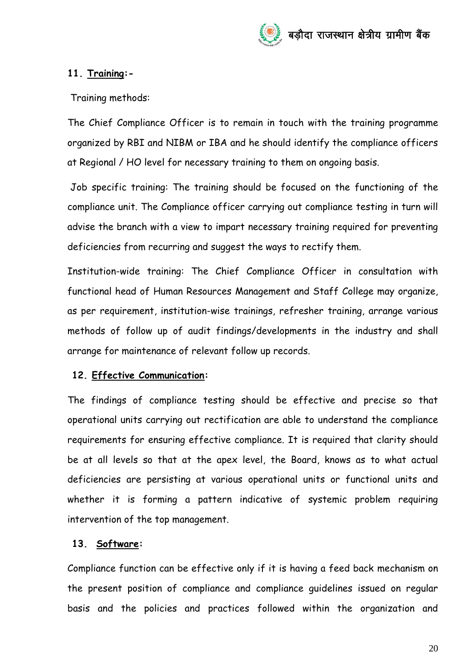

## **11. Training:-**

Training methods:

The Chief Compliance Officer is to remain in touch with the training programme organized by RBI and NIBM or IBA and he should identify the compliance officers at Regional / HO level for necessary training to them on ongoing basis.

Job specific training: The training should be focused on the functioning of the compliance unit. The Compliance officer carrying out compliance testing in turn will advise the branch with a view to impart necessary training required for preventing deficiencies from recurring and suggest the ways to rectify them.

Institution-wide training: The Chief Compliance Officer in consultation with functional head of Human Resources Management and Staff College may organize, as per requirement, institution-wise trainings, refresher training, arrange various methods of follow up of audit findings/developments in the industry and shall arrange for maintenance of relevant follow up records.

## **12. Effective Communication:**

The findings of compliance testing should be effective and precise so that operational units carrying out rectification are able to understand the compliance requirements for ensuring effective compliance. It is required that clarity should be at all levels so that at the apex level, the Board, knows as to what actual deficiencies are persisting at various operational units or functional units and whether it is forming a pattern indicative of systemic problem requiring intervention of the top management.

## **13. Software:**

Compliance function can be effective only if it is having a feed back mechanism on the present position of compliance and compliance guidelines issued on regular basis and the policies and practices followed within the organization and